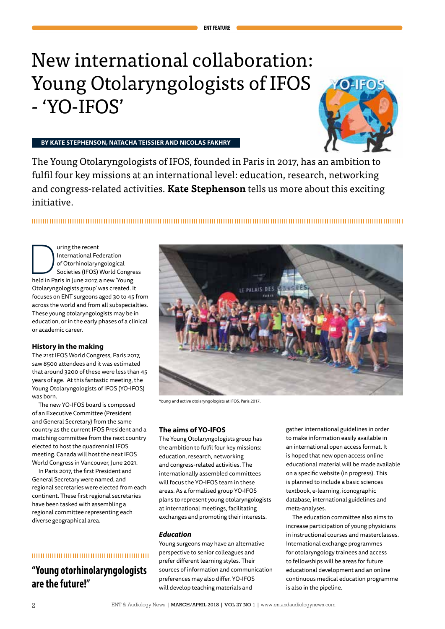# New international collaboration: Young Otolaryngologists of IFOS - 'YO-IFOS'



# **BY KATE STEPHENSON, NATACHA TEISSIER AND NICOLAS FAKHRY**

The Young Otolaryngologists of IFOS, founded in Paris in 2017, has an ambition to fulfil four key missions at an international level: education, research, networking and congress-related activities. **Kate Stephenson** tells us more about this exciting initiative.

**ENT FEATURE**

International Federation<br>
of Otorhinolaryngological<br>
Societies (IFOS) World Congre<br>
held in Paris in June 2017, a new 'Young International Federation of Otorhinolaryngological Societies (IFOS) World Congress Otolaryngologists group' was created. It focuses on ENT surgeons aged 30 to 45 from across the world and from all subspecialties. These young otolaryngologists may be in education, or in the early phases of a clinical or academic career.

# **History in the making**

The 21st IFOS World Congress, Paris 2017, saw 8500 attendees and it was estimated that around 3200 of these were less than 45 years of age. At this fantastic meeting, the Young Otolaryngologists of IFOS (YO-IFOS) was born.

The new YO-IFOS board is composed of an Executive Committee (President and General Secretary) from the same country as the current IFOS President and a matching committee from the next country elected to host the quadrennial IFOS meeting. Canada will host the next IFOS World Congress in Vancouver, June 2021.

In Paris 2017, the first President and General Secretary were named, and regional secretaries were elected from each continent. These first regional secretaries have been tasked with assembling a regional committee representing each diverse geographical area.

# 

# **"Young otorhinolaryngologists are the future!"**



Young and active otolaryngologists at IFOS, Paris 2017.

## **The aims of YO-IFOS**

The Young Otolaryngologists group has the ambition to fulfil four key missions: education, research, networking and congress-related activities. The internationally assembled committees will focus the YO-IFOS team in these areas. As a formalised group YO-IFOS plans to represent young otolaryngologists at international meetings, facilitating exchanges and promoting their interests.

# *Education*

Young surgeons may have an alternative perspective to senior colleagues and prefer different learning styles. Their sources of information and communication preferences may also differ. YO-IFOS will develop teaching materials and

gather international guidelines in order to make information easily available in an international open access format. It is hoped that new open access online educational material will be made available on a specific website (in progress). This is planned to include a basic sciences textbook, e-learning, iconographic database, international guidelines and meta-analyses.

The education committee also aims to increase participation of young physicians in instructional courses and masterclasses. International exchange programmes for otolaryngology trainees and access to fellowships will be areas for future educational development and an online continuous medical education programme is also in the pipeline.